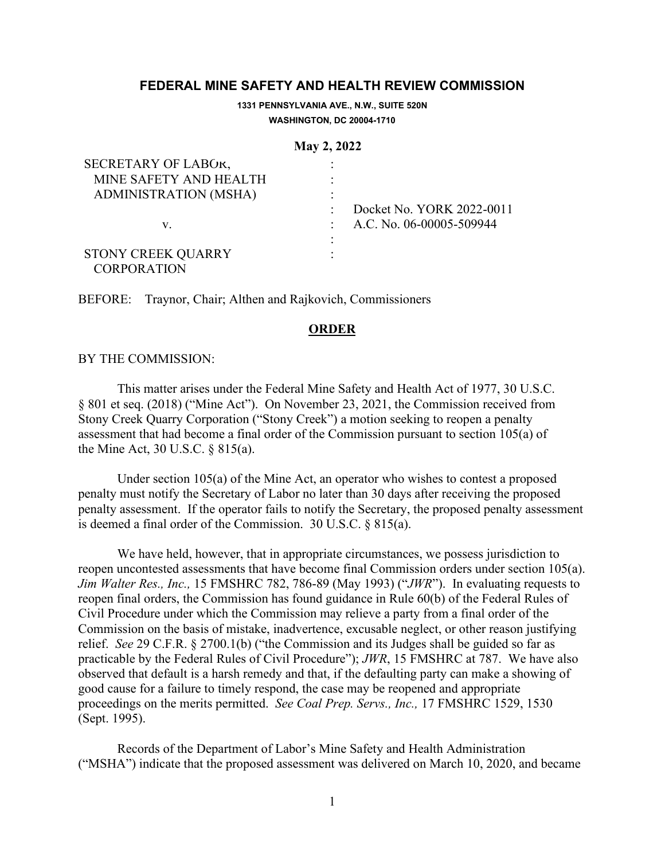# **FEDERAL MINE SAFETY AND HEALTH REVIEW COMMISSION**

**1331 PENNSYLVANIA AVE., N.W., SUITE 520N WASHINGTON, DC 20004-1710**

#### **May 2, 2022**

| SECRETARY OF LABOR,                             |                           |
|-------------------------------------------------|---------------------------|
| MINE SAFETY AND HEALTH                          |                           |
| <b>ADMINISTRATION (MSHA)</b>                    |                           |
|                                                 | Docket No. YORK 2022-0011 |
| v.                                              | A.C. No. 06-00005-509944  |
|                                                 |                           |
| <b>STONY CREEK QUARRY</b><br><b>CORPORATION</b> |                           |

BEFORE: Traynor, Chair; Althen and Rajkovich, Commissioners

## **ORDER**

## BY THE COMMISSION:

This matter arises under the Federal Mine Safety and Health Act of 1977, 30 U.S.C. § 801 et seq. (2018) ("Mine Act"). On November 23, 2021, the Commission received from Stony Creek Quarry Corporation ("Stony Creek") a motion seeking to reopen a penalty assessment that had become a final order of the Commission pursuant to section 105(a) of the Mine Act, 30 U.S.C. § 815(a).

Under section 105(a) of the Mine Act, an operator who wishes to contest a proposed penalty must notify the Secretary of Labor no later than 30 days after receiving the proposed penalty assessment. If the operator fails to notify the Secretary, the proposed penalty assessment is deemed a final order of the Commission. 30 U.S.C. § 815(a).

We have held, however, that in appropriate circumstances, we possess jurisdiction to reopen uncontested assessments that have become final Commission orders under section 105(a). *Jim Walter Res., Inc.,* 15 FMSHRC 782, 786-89 (May 1993) ("*JWR*"). In evaluating requests to reopen final orders, the Commission has found guidance in Rule 60(b) of the Federal Rules of Civil Procedure under which the Commission may relieve a party from a final order of the Commission on the basis of mistake, inadvertence, excusable neglect, or other reason justifying relief. *See* 29 C.F.R. § 2700.1(b) ("the Commission and its Judges shall be guided so far as practicable by the Federal Rules of Civil Procedure"); *JWR*, 15 FMSHRC at 787. We have also observed that default is a harsh remedy and that, if the defaulting party can make a showing of good cause for a failure to timely respond, the case may be reopened and appropriate proceedings on the merits permitted. *See Coal Prep. Servs., Inc.,* 17 FMSHRC 1529, 1530 (Sept. 1995).

Records of the Department of Labor's Mine Safety and Health Administration ("MSHA") indicate that the proposed assessment was delivered on March 10, 2020, and became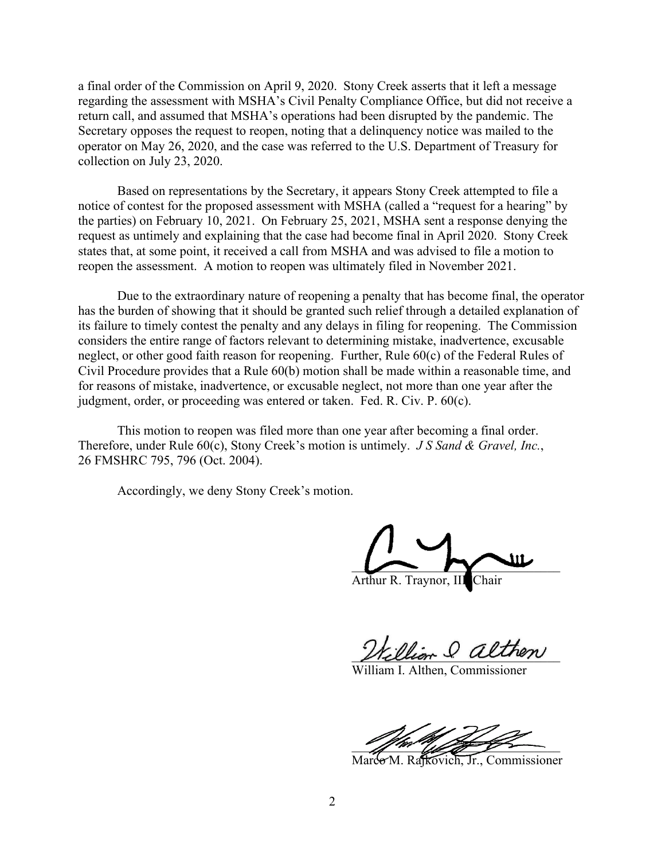a final order of the Commission on April 9, 2020. Stony Creek asserts that it left a message regarding the assessment with MSHA's Civil Penalty Compliance Office, but did not receive a return call, and assumed that MSHA's operations had been disrupted by the pandemic. The Secretary opposes the request to reopen, noting that a delinquency notice was mailed to the operator on May 26, 2020, and the case was referred to the U.S. Department of Treasury for collection on July 23, 2020.

Based on representations by the Secretary, it appears Stony Creek attempted to file a notice of contest for the proposed assessment with MSHA (called a "request for a hearing" by the parties) on February 10, 2021. On February 25, 2021, MSHA sent a response denying the request as untimely and explaining that the case had become final in April 2020. Stony Creek states that, at some point, it received a call from MSHA and was advised to file a motion to reopen the assessment. A motion to reopen was ultimately filed in November 2021.

Due to the extraordinary nature of reopening a penalty that has become final, the operator has the burden of showing that it should be granted such relief through a detailed explanation of its failure to timely contest the penalty and any delays in filing for reopening. The Commission considers the entire range of factors relevant to determining mistake, inadvertence, excusable neglect, or other good faith reason for reopening. Further, Rule 60(c) of the Federal Rules of Civil Procedure provides that a Rule 60(b) motion shall be made within a reasonable time, and for reasons of mistake, inadvertence, or excusable neglect, not more than one year after the judgment, order, or proceeding was entered or taken. Fed. R. Civ. P. 60(c).

This motion to reopen was filed more than one year after becoming a final order. Therefore, under Rule 60(c), Stony Creek's motion is untimely. *J S Sand & Gravel, Inc.*, 26 FMSHRC 795, 796 (Oct. 2004).

Accordingly, we deny Stony Creek's motion.

 $\sim$   $\sim$   $\sim$ 

Arthur R. Traynor, III

 $=$  Olther

William I. Althen, Commissioner

 $\mathscr{L}$  and the same of  $\mathscr{L}$ 

Marco M. Rajkovich, Jr., Commissioner